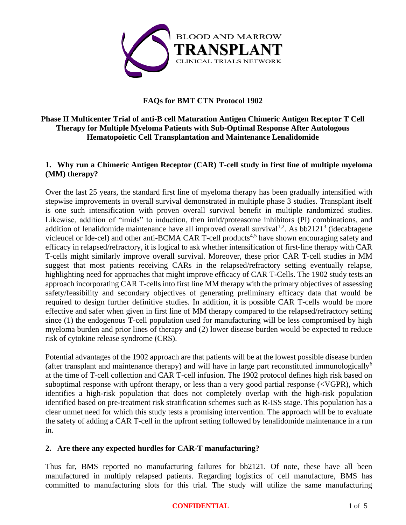

# <span id="page-0-0"></span>**FAQs for BMT CTN Protocol 1902**

## **Phase II Multicenter Trial of anti-B cell Maturation Antigen Chimeric Antigen Receptor T Cell Therapy for Multiple Myeloma Patients with Sub-Optimal Response After Autologous Hematopoietic Cell Transplantation and Maintenance Lenalidomide**

# **1. Why run a Chimeric Antigen Receptor (CAR) T-cell study in first line of multiple myeloma (MM) therapy?**

Over the last 25 years, the standard first line of myeloma therapy has been gradually intensified with stepwise improvements in overall survival demonstrated in multiple phase 3 studies. Transplant itself is one such intensification with proven overall survival benefit in multiple randomized studies. Likewise, addition of "imids" to induction, then imid/proteasome inhibitors (PI) combinations, and addition of lenalidomide maintenance have all improved overall survival<sup>1,2</sup>. As bb2121<sup>3</sup> (idecabtagene vicleucel or Ide-cel) and other anti-BCMA CAR T-cell products<sup>4,5</sup> have shown encouraging safety and efficacy in relapsed/refractory, it is logical to ask whether intensification of first-line therapy with CAR T-cells might similarly improve overall survival. Moreover, these prior CAR T-cell studies in MM suggest that most patients receiving CARs in the relapsed/refractory setting eventually relapse, highlighting need for approaches that might improve efficacy of CAR T-Cells. The 1902 study tests an approach incorporating CAR T-cells into first line MM therapy with the primary objectives of assessing safety/feasibility and secondary objectives of generating preliminary efficacy data that would be required to design further definitive studies. In addition, it is possible CAR T-cells would be more effective and safer when given in first line of MM therapy compared to the relapsed/refractory setting since (1) the endogenous T-cell population used for manufacturing will be less compromised by high myeloma burden and prior lines of therapy and (2) lower disease burden would be expected to reduce risk of cytokine release syndrome (CRS).

Potential advantages of the 1902 approach are that patients will be at the lowest possible disease burden (after transplant and maintenance therapy) and will have in large part reconstituted immunologically<sup>6</sup> at the time of T-cell collection and CAR T-cell infusion. The 1902 protocol defines high risk based on suboptimal response with upfront therapy, or less than a very good partial response (<VGPR), which identifies a high-risk population that does not completely overlap with the high-risk population identified based on pre-treatment risk stratification schemes such as R-ISS stage. This population has a clear unmet need for which this study tests a promising intervention. The approach will be to evaluate the safety of adding a CAR T-cell in the upfront setting followed by lenalidomide maintenance in a run in.

### **2. Are there any expected hurdles for CAR-T manufacturing?**

Thus far, BMS reported no manufacturing failures for bb2121. Of note, these have all been manufactured in multiply relapsed patients. Regarding logistics of cell manufacture, BMS has committed to manufacturing slots for this trial. The study will utilize the same manufacturing

#### **CONFIDENTIAL** 1 of 5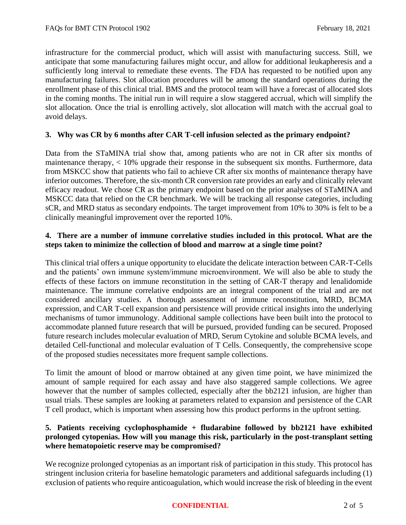infrastructure for the commercial product, which will assist with manufacturing success. Still, we anticipate that some manufacturing failures might occur, and allow for additional leukapheresis and a sufficiently long interval to remediate these events. The FDA has requested to be notified upon any manufacturing failures. Slot allocation procedures will be among the standard operations during the enrollment phase of this clinical trial. BMS and the protocol team will have a forecast of allocated slots in the coming months. The initial run in will require a slow staggered accrual, which will simplify the slot allocation. Once the trial is enrolling actively, slot allocation will match with the accrual goal to avoid delays.

### **3. Why was CR by 6 months after CAR T-cell infusion selected as the primary endpoint?**

Data from the STaMINA trial show that, among patients who are not in CR after six months of maintenance therapy, < 10% upgrade their response in the subsequent six months. Furthermore, data from MSKCC show that patients who fail to achieve CR after six months of maintenance therapy have inferior outcomes. Therefore, the six-month CR conversion rate provides an early and clinically relevant efficacy readout. We chose CR as the primary endpoint based on the prior analyses of STaMINA and MSKCC data that relied on the CR benchmark. We will be tracking all response categories, including sCR, and MRD status as secondary endpoints. The target improvement from 10% to 30% is felt to be a clinically meaningful improvement over the reported 10%.

## **4. There are a number of immune correlative studies included in this protocol. What are the steps taken to minimize the collection of blood and marrow at a single time point?**

This clinical trial offers a unique opportunity to elucidate the delicate interaction between CAR-T-Cells and the patients' own immune system/immune microenvironment. We will also be able to study the effects of these factors on immune reconstitution in the setting of CAR-T therapy and lenalidomide maintenance. The immune correlative endpoints are an integral component of the trial and are not considered ancillary studies. A thorough assessment of immune reconstitution, MRD, BCMA expression, and CAR T-cell expansion and persistence will provide critical insights into the underlying mechanisms of tumor immunology. Additional sample collections have been built into the protocol to accommodate planned future research that will be pursued, provided funding can be secured. Proposed future research includes molecular evaluation of MRD, Serum Cytokine and soluble BCMA levels, and detailed Cell-functional and molecular evaluation of T Cells. Consequently, the comprehensive scope of the proposed studies necessitates more frequent sample collections.

To limit the amount of blood or marrow obtained at any given time point, we have minimized the amount of sample required for each assay and have also staggered sample collections. We agree however that the number of samples collected, especially after the bb2121 infusion, are higher than usual trials. These samples are looking at parameters related to expansion and persistence of the CAR T cell product, which is important when assessing how this product performs in the upfront setting.

## **5. Patients receiving cyclophosphamide + fludarabine followed by bb2121 have exhibited prolonged cytopenias. How will you manage this risk, particularly in the post-transplant setting where hematopoietic reserve may be compromised?**

We recognize prolonged cytopenias as an important risk of participation in this study. This protocol has stringent inclusion criteria for baseline hematologic parameters and additional safeguards including (1) exclusion of patients who require anticoagulation, which would increase the risk of bleeding in the event

### **CONFIDENTIAL** 2 of 5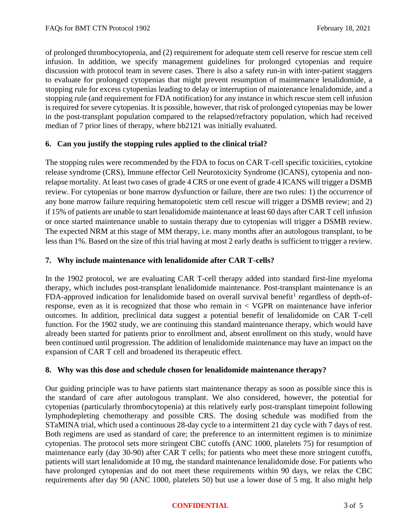of prolonged thrombocytopenia, and (2) requirement for adequate stem cell reserve for rescue stem cell infusion. In addition, we specify management guidelines for prolonged cytopenias and require discussion with protocol team in severe cases. There is also a safety run-in with inter-patient staggers to evaluate for prolonged cytopenias that might prevent resumption of maintenance lenalidomide, a stopping rule for excess cytopenias leading to delay or interruption of maintenance lenalidomide, and a stopping rule (and requirement for FDA notification) for any instance in which rescue stem cell infusion is required for severe cytopenias. It is possible, however, that risk of prolonged cytopenias may be lower in the post-transplant population compared to the relapsed/refractory population, which had received median of 7 prior lines of therapy, where bb2121 was initially evaluated.

# **6. Can you justify the stopping rules applied to the clinical trial?**

The stopping rules were recommended by the FDA to focus on CAR T-cell specific toxicities, cytokine release syndrome (CRS), Immune effector Cell Neurotoxicity Syndrome (ICANS), cytopenia and nonrelapse mortality. At least two cases of grade 4 CRS or one event of grade 4 ICANS will trigger a DSMB review. For cytopenias or bone marrow dysfunction or failure, there are two rules: 1) the occurrence of any bone marrow failure requiring hematopoietic stem cell rescue will trigger a DSMB review; and 2) if 15% of patients are unable to start lenalidomide maintenance at least 60 days after CAR T cell infusion or once started maintenance unable to sustain therapy due to cytopenias will trigger a DSMB review. The expected NRM at this stage of MM therapy, i.e. many months after an autologous transplant, to be less than 1%. Based on the size of this trial having at most 2 early deaths is sufficient to trigger a review.

## **7. Why include maintenance with lenalidomide after CAR T-cells?**

In the 1902 protocol, we are evaluating CAR T-cell therapy added into standard first-line myeloma therapy, which includes post-transplant lenalidomide maintenance. Post-transplant maintenance is an FDA-approved indication for lenalidomide based on overall survival benefit<sup>[1](#page-0-0)</sup> regardless of depth-ofresponse, even as it is recognized that those who remain in < VGPR on maintenance have inferior outcomes. In addition, preclinical data suggest a potential benefit of lenalidomide on CAR T-cell function. For the 1902 study, we are continuing this standard maintenance therapy, which would have already been started for patients prior to enrollment and, absent enrollment on this study, would have been continued until progression. The addition of lenalidomide maintenance may have an impact on the expansion of CAR T cell and broadened its therapeutic effect.

# **8. Why was this dose and schedule chosen for lenalidomide maintenance therapy?**

Our guiding principle was to have patients start maintenance therapy as soon as possible since this is the standard of care after autologous transplant. We also considered, however, the potential for cytopenias (particularly thrombocytopenia) at this relatively early post-transplant timepoint following lymphodepleting chemotherapy and possible CRS. The dosing schedule was modified from the STaMINA trial, which used a continuous 28-day cycle to a intermittent 21 day cycle with 7 days of rest. Both regimens are used as standard of care; the preference to an intermittent regimen is to minimize cytopenias. The protocol sets more stringent CBC cutoffs (ANC 1000, platelets 75) for resumption of maintenance early (day 30-90) after CAR T cells; for patients who meet these more stringent cutoffs, patients will start lenalidomide at 10 mg, the standard maintenance lenalidomide dose. For patients who have prolonged cytopenias and do not meet these requirements within 90 days, we relax the CBC requirements after day 90 (ANC 1000, platelets 50) but use a lower dose of 5 mg. It also might help

#### **CONFIDENTIAL** 3 of 5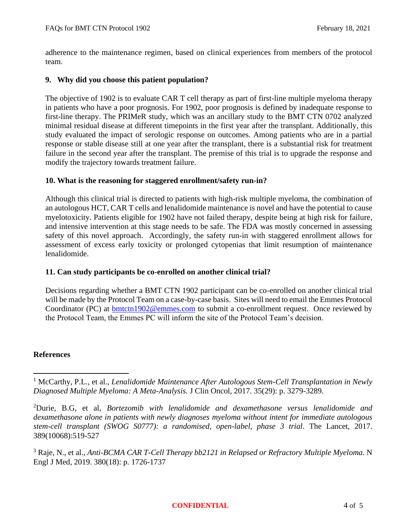adherence to the maintenance regimen, based on clinical experiences from members of the protocol team.

### **9. Why did you choose this patient population?**

The objective of 1902 is to evaluate CAR T cell therapy as part of first-line multiple myeloma therapy in patients who have a poor prognosis. For 1902, poor prognosis is defined by inadequate response to first-line therapy. The PRIMeR study, which was an ancillary study to the BMT CTN 0702 analyzed minimal residual disease at different timepoints in the first year after the transplant. Additionally, this study evaluated the impact of serologic response on outcomes. Among patients who are in a partial response or stable disease still at one year after the transplant, there is a substantial risk for treatment failure in the second year after the transplant. The premise of this trial is to upgrade the response and modify the trajectory towards treatment failure.

### **10. What is the reasoning for staggered enrollment/safety run-in?**

Although this clinical trial is directed to patients with high-risk multiple myeloma, the combination of an autologous HCT, CAR T cells and lenalidomide maintenance is novel and have the potential to cause myelotoxicity. Patients eligible for 1902 have not failed therapy, despite being at high risk for failure, and intensive intervention at this stage needs to be safe. The FDA was mostly concerned in assessing safety of this novel approach. Accordingly, the safety run-in with staggered enrollment allows for assessment of excess early toxicity or prolonged cytopenias that limit resumption of maintenance lenalidomide.

### **11. Can study participants be co-enrolled on another clinical trial?**

Decisions regarding whether a BMT CTN 1902 participant can be co-enrolled on another clinical trial will be made by the Protocol Team on a case-by-case basis. Sites will need to email the Emmes Protocol Coordinator (PC) at [bmtctn1902@emmes.com](mailto:bmtctn1902@emmes.com) to submit a co-enrollment request. Once reviewed by the Protocol Team, the Emmes PC will inform the site of the Protocol Team's decision.

### **References**

#### **CONFIDENTIAL** 4 of 5

<sup>1</sup> McCarthy, P.L., et al., *Lenalidomide Maintenance After Autologous Stem-Cell Transplantation in Newly Diagnosed Multiple Myeloma: A Meta-Analysis.* J Clin Oncol, 2017. 35(29): p. 3279-3289.

<sup>2</sup>Durie, B.G, et al, *Bortezomib with lenalidomide and dexamethasone versus lenalidomide and dexamethasone alone in patients with newly diagnoses myeloma without intent for immediate autologous stem-cell transplant (SWOG S0777): a randomised, open-label, phase 3 trial*. The Lancet, 2017. 389(10068):519-527

<sup>3</sup> Raje, N., et al., *Anti-BCMA CAR T-Cell Therapy bb2121 in Relapsed or Refractory Multiple Myeloma.* N Engl J Med, 2019. 380(18): p. 1726-1737